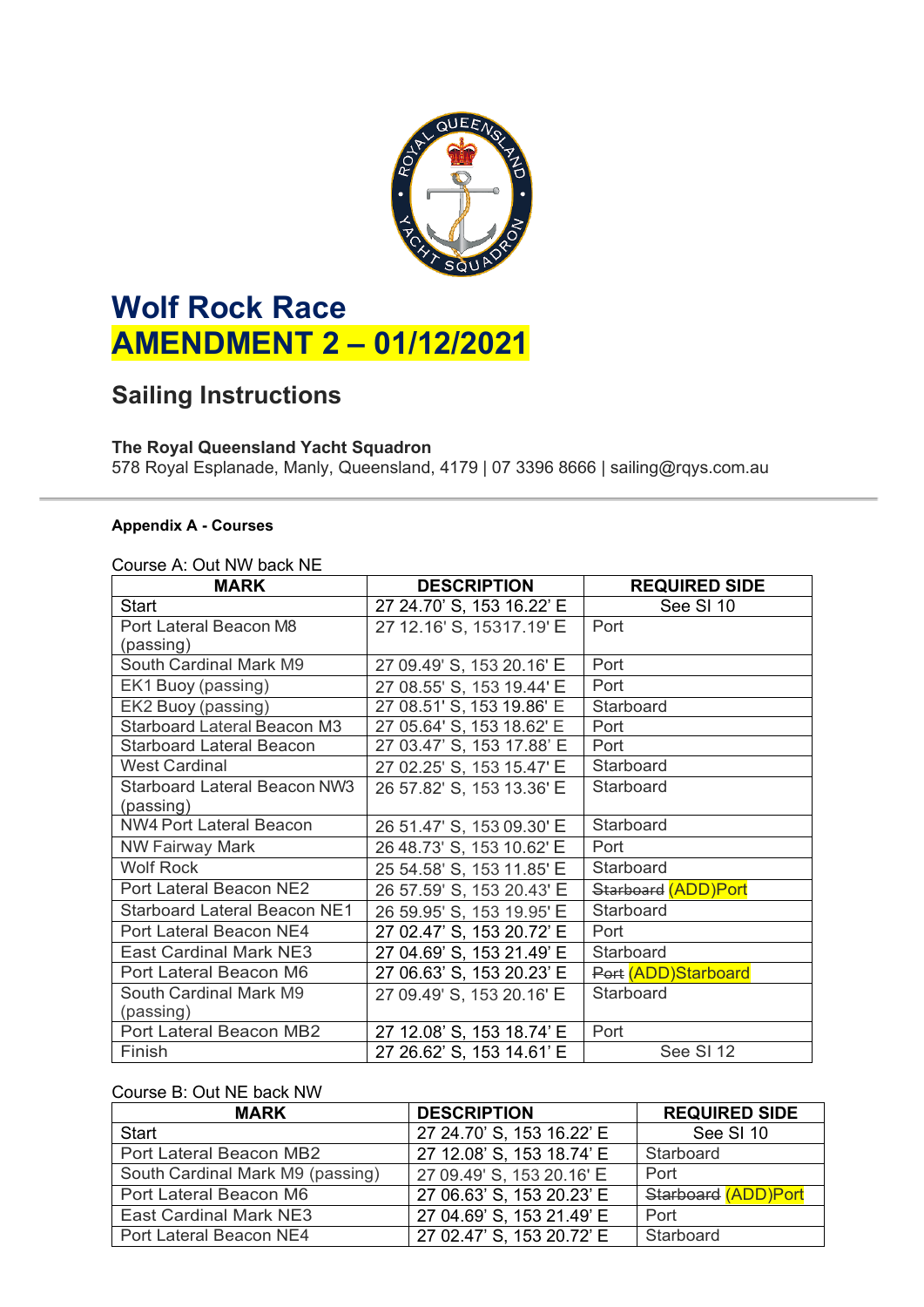

# **Wolf Rock Race AMENDMENT 2 – 01/12/2021**

## **Sailing Instructions**

### **The Royal Queensland Yacht Squadron**

578 Royal Esplanade, Manly, Queensland, 4179 | 07 3396 8666 | sailing@rqys.com.au

#### **Appendix A - Courses**

#### Course A: Out NW back NE

| <b>MARK</b>                         | <b>DESCRIPTION</b>        | <b>REQUIRED SIDE</b> |
|-------------------------------------|---------------------------|----------------------|
| <b>Start</b>                        | 27 24.70' S, 153 16.22' E | See SI 10            |
| Port Lateral Beacon M8              | 27 12.16' S, 15317.19' E  | Port                 |
| (passing)                           |                           |                      |
| South Cardinal Mark M9              | 27 09.49' S, 153 20.16' E | Port                 |
| EK1 Buoy (passing)                  | 27 08.55' S, 153 19.44' E | Port                 |
| EK2 Buoy (passing)                  | 27 08.51' S, 153 19.86' E | Starboard            |
| <b>Starboard Lateral Beacon M3</b>  | 27 05.64' S, 153 18.62' E | Port                 |
| <b>Starboard Lateral Beacon</b>     | 27 03.47' S, 153 17.88' E | Port                 |
| <b>West Cardinal</b>                | 27 02.25' S, 153 15.47' E | Starboard            |
| <b>Starboard Lateral Beacon NW3</b> | 26 57.82' S, 153 13.36' E | Starboard            |
| (passing)                           |                           |                      |
| <b>NW4 Port Lateral Beacon</b>      | 26 51.47' S, 153 09.30' E | Starboard            |
| <b>NW Fairway Mark</b>              | 26 48.73' S, 153 10.62' E | Port                 |
| <b>Wolf Rock</b>                    | 25 54.58' S, 153 11.85' E | Starboard            |
| Port Lateral Beacon NE2             | 26 57.59' S, 153 20.43' E | Starboard (ADD)Port  |
| <b>Starboard Lateral Beacon NE1</b> | 26 59.95' S, 153 19.95' E | Starboard            |
| Port Lateral Beacon NE4             | 27 02.47' S, 153 20.72' E | Port                 |
| <b>East Cardinal Mark NE3</b>       | 27 04.69' S, 153 21.49' E | Starboard            |
| Port Lateral Beacon M6              | 27 06.63' S, 153 20.23' E | Port (ADD)Starboard  |
| South Cardinal Mark M9              | 27 09.49' S, 153 20.16' E | Starboard            |
| (passing)                           |                           |                      |
| Port Lateral Beacon MB2             | 27 12.08' S, 153 18.74' E | Port                 |
| Finish                              | 27 26.62' S, 153 14.61' E | See SI 12            |

#### Course B: Out NE back NW

| <b>MARK</b>                      | <b>DESCRIPTION</b>        | <b>REQUIRED SIDE</b> |
|----------------------------------|---------------------------|----------------------|
| <b>Start</b>                     | 27 24.70' S, 153 16.22' E | See SI 10            |
| Port Lateral Beacon MB2          | 27 12.08' S, 153 18.74' E | Starboard            |
| South Cardinal Mark M9 (passing) | 27 09.49' S, 153 20.16' E | Port                 |
| Port Lateral Beacon M6           | 27 06.63' S, 153 20.23' E | Starboard (ADD)Port  |
| <b>East Cardinal Mark NE3</b>    | 27 04 69' S, 153 21 49' E | Port                 |
| Port Lateral Beacon NE4          | 27 02.47' S, 153 20.72' E | Starboard            |